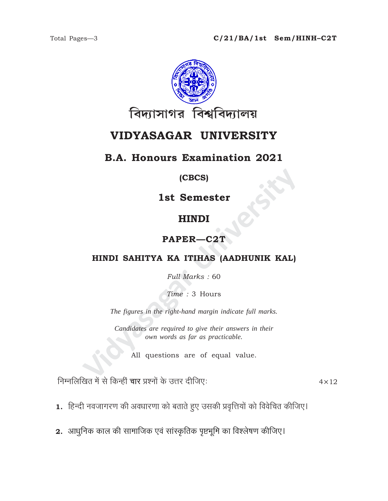

# VIDYASAGAR UNIVERSITY

### **B.A. Honours Examination 2021**

#### (CBCS)

1st Semester

## **HINDI**

### PAPER-C2T

### HINDI SAHITYA KA ITIHAS (AADHUNIK KAL)

Full Marks: 60

Time: 3 Hours

The figures in the right-hand margin indicate full marks.

Candidates are required to give their answers in their own words as far as practicable.

All questions are of equal value.

निम्नलिखित में से किन्हीं चार प्रश्नों के उत्तर दीजिए:

 $4 \times 12$ 

- 1. हिन्दी नवजागरण की अवधारणा को बताते हुए उसकी प्रवृत्तियों को विवेचित कीजिए।
- 2. आधुनिक काल की सामाजिक एवं सांस्कृतिक पृष्टभूमि का विश्लेषण कीजिए।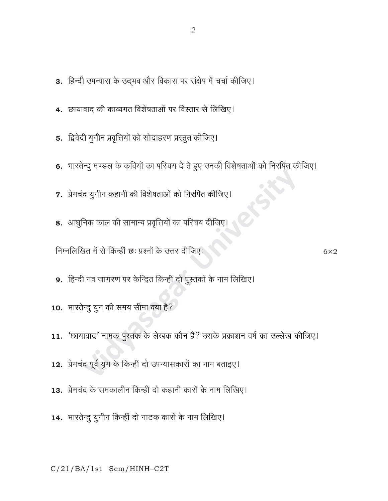- 3. हिन्दी उपन्यास के उद्भव और विकास पर संक्षेप में चर्चा कीजिए।
- 4. छायावाद की काव्यगत विशेषताओं पर विस्तार से लिखिए।
- 5. द्विवेदी युगीन प्रवृत्तियों को सोदाहरण प्रस्तुत कीजिए।
- 6. भारतेन्दु मण्डल के कवियों का परिचय दे ते हुए उनकी विशेषताओं को निरुपित कीजिए।
- 7. प्रेमचंद युगीन कहानी की विशेषताओं को निर्रापेत कीजिए।
- 8. आधुनिक काल की सामान्य प्रवृत्तियों का परिचय दीजिए।

निम्नलिखित में से किन्हीं छः प्रश्नों के उत्तर दीजिएः

- 9. हिन्दी नव जागरण पर केन्द्रित किन्हीं दो पुस्तकों के नाम लिखिए।
- 10. भारतेन्दु युग की समय सीमा क्या है?
- 11. 'छायावाद' नामक पुस्तक के लेखक कौन हैं? उसके प्रकाशन वर्ष का उल्लेख कीजिए।
- 12. प्रेमचंद पूर्व युग के किन्हीं दो उपन्यासकारों का नाम बताइए।
- 13. प्रेमचंद के समकालीन किन्ही दो कहानी कारों के नाम लिखिए।
- 14. भारतेन्दू युगीन किन्हीं दो नाटक कारों के नाम लिखिए।

 $C/21/BA/1st$  Sem/HINH-C2T

 $6\times2$